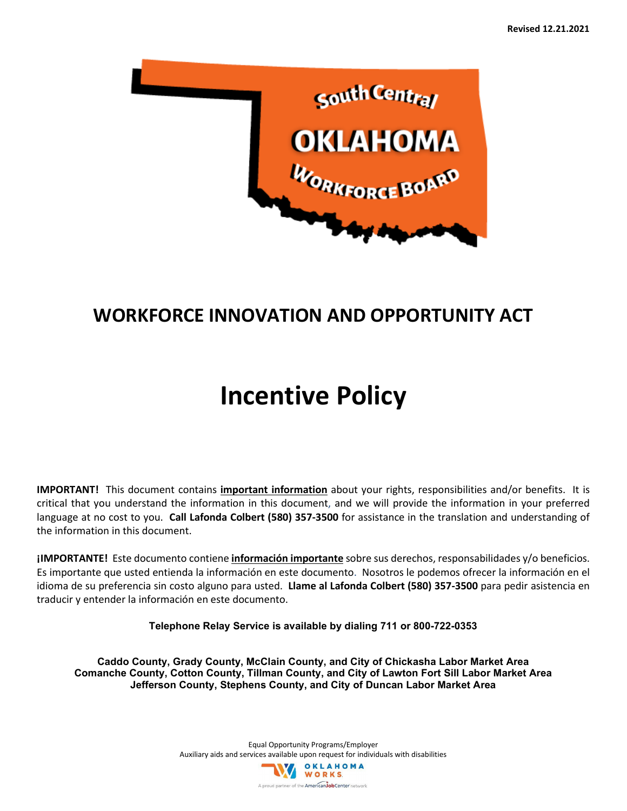

# **WORKFORCE INNOVATION AND OPPORTUNITY ACT**

# **Incentive Policy**

**IMPORTANT!** This document contains **important information** about your rights, responsibilities and/or benefits. It is critical that you understand the information in this document, and we will provide the information in your preferred language at no cost to you. **Call Lafonda Colbert (580) 357-3500** for assistance in the translation and understanding of the information in this document.

**¡IMPORTANTE!** Este documento contiene **información importante** sobre sus derechos, responsabilidades y/o beneficios. Es importante que usted entienda la información en este documento. Nosotros le podemos ofrecer la información en el idioma de su preferencia sin costo alguno para usted. **Llame al Lafonda Colbert (580) 357-3500** para pedir asistencia en traducir y entender la información en este documento.

**Telephone Relay Service is available by dialing 711 or 800-722-0353**

**Caddo County, Grady County, McClain County, and City of Chickasha Labor Market Area Comanche County, Cotton County, Tillman County, and City of Lawton Fort Sill Labor Market Area Jefferson County, Stephens County, and City of Duncan Labor Market Area**

> Equal Opportunity Programs/Employer Auxiliary aids and services available upon request for individuals with disabilities W OKLAHOMA A proud partner of the American JobCenter network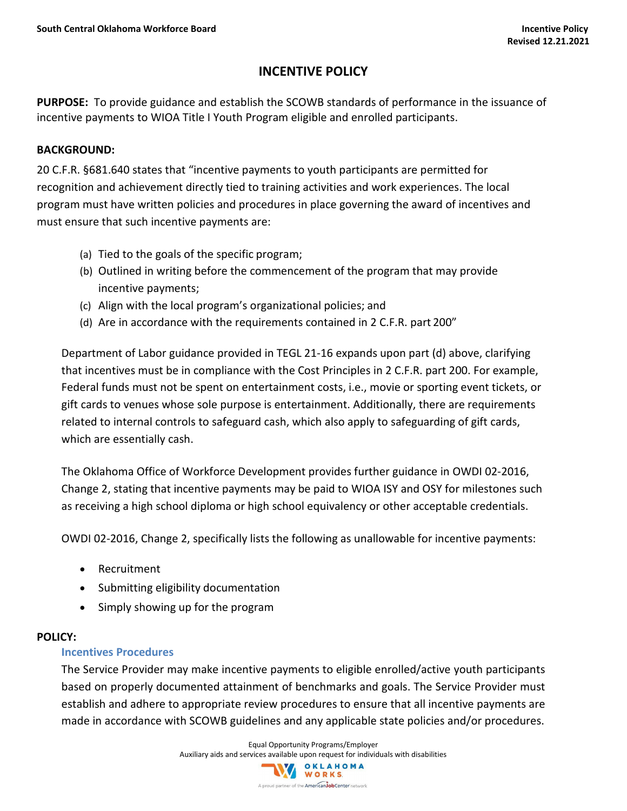# **INCENTIVE POLICY**

**PURPOSE:** To provide guidance and establish the SCOWB standards of performance in the issuance of incentive payments to WIOA Title I Youth Program eligible and enrolled participants.

#### **BACKGROUND:**

20 C.F.R. §681.640 states that "incentive payments to youth participants are permitted for recognition and achievement directly tied to training activities and work experiences. The local program must have written policies and procedures in place governing the award of incentives and must ensure that such incentive payments are:

- (a) Tied to the goals of the specific program;
- (b) Outlined in writing before the commencement of the program that may provide incentive payments;
- (c) Align with the local program's organizational policies; and
- (d) Are in accordance with the requirements contained in 2 C.F.R. part 200"

Department of Labor guidance provided in TEGL 21-16 expands upon part (d) above, clarifying that incentives must be in compliance with the Cost Principles in 2 C.F.R. part 200. For example, Federal funds must not be spent on entertainment costs, i.e., movie or sporting event tickets, or gift cards to venues whose sole purpose is entertainment. Additionally, there are requirements related to internal controls to safeguard cash, which also apply to safeguarding of gift cards, which are essentially cash.

The Oklahoma Office of Workforce Development provides further guidance in OWDI 02-2016, Change 2, stating that incentive payments may be paid to WIOA ISY and OSY for milestones such as receiving a high school diploma or high school equivalency or other acceptable credentials.

OWDI 02-2016, Change 2, specifically lists the following as unallowable for incentive payments:

- Recruitment
- Submitting eligibility documentation
- Simply showing up for the program

#### **POLICY:**

#### **Incentives Procedures**

The Service Provider may make incentive payments to eligible enrolled/active youth participants based on properly documented attainment of benchmarks and goals. The Service Provider must establish and adhere to appropriate review procedures to ensure that all incentive payments are made in accordance with SCOWB guidelines and any applicable state policies and/or procedures.

Equal Opportunity Programs/Employer

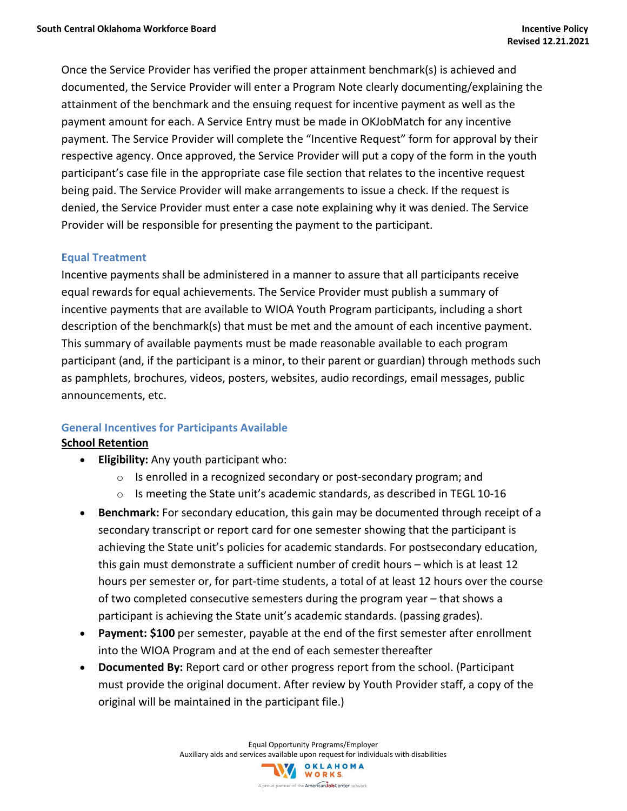Once the Service Provider has verified the proper attainment benchmark(s) is achieved and documented, the Service Provider will enter a Program Note clearly documenting/explaining the attainment of the benchmark and the ensuing request for incentive payment as well as the payment amount for each. A Service Entry must be made in OKJobMatch for any incentive payment. The Service Provider will complete the "Incentive Request" form for approval by their respective agency. Once approved, the Service Provider will put a copy of the form in the youth participant's case file in the appropriate case file section that relates to the incentive request being paid. The Service Provider will make arrangements to issue a check. If the request is denied, the Service Provider must enter a case note explaining why it was denied. The Service Provider will be responsible for presenting the payment to the participant.

#### **Equal Treatment**

Incentive payments shall be administered in a manner to assure that all participants receive equal rewards for equal achievements. The Service Provider must publish a summary of incentive payments that are available to WIOA Youth Program participants, including a short description of the benchmark(s) that must be met and the amount of each incentive payment. This summary of available payments must be made reasonable available to each program participant (and, if the participant is a minor, to their parent or guardian) through methods such as pamphlets, brochures, videos, posters, websites, audio recordings, email messages, public announcements, etc.

#### **General Incentives for Participants Available**

#### **School Retention**

- **Eligibility:** Any youth participant who:
	- o Is enrolled in a recognized secondary or post-secondary program; and
	- $\circ$  Is meeting the State unit's academic standards, as described in TEGL 10-16
- **Benchmark:** For secondary education, this gain may be documented through receipt of a secondary transcript or report card for one semester showing that the participant is achieving the State unit's policies for academic standards. For postsecondary education, this gain must demonstrate a sufficient number of credit hours – which is at least 12 hours per semester or, for part-time students, a total of at least 12 hours over the course of two completed consecutive semesters during the program year – that shows a participant is achieving the State unit's academic standards. (passing grades).
- **Payment: \$100** per semester, payable at the end of the first semester after enrollment into the WIOA Program and at the end of each semester thereafter
- **Documented By:** Report card or other progress report from the school. (Participant must provide the original document. After review by Youth Provider staff, a copy of the original will be maintained in the participant file.)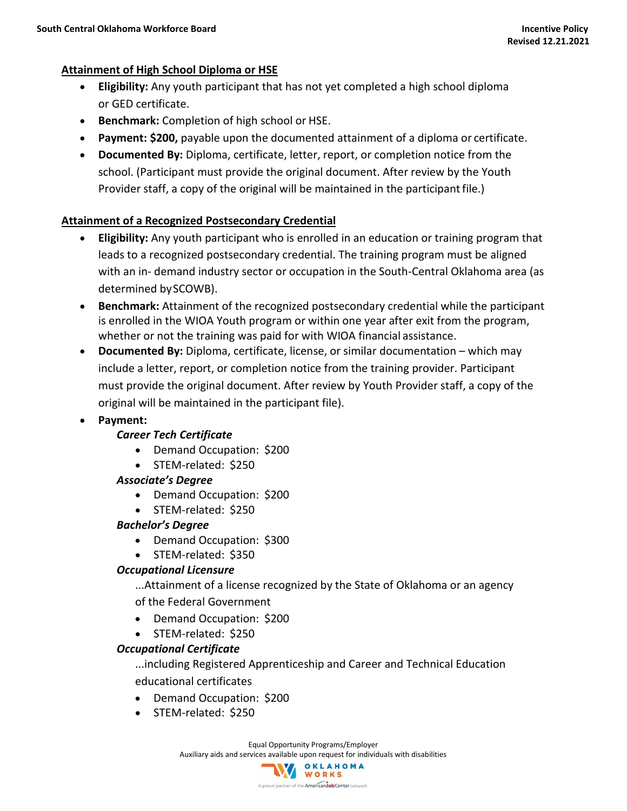#### **Attainment of High School Diploma or HSE**

- **Eligibility:** Any youth participant that has not yet completed a high school diploma or GED certificate.
- **Benchmark:** Completion of high school or HSE.
- **Payment: \$200,** payable upon the documented attainment of a diploma or certificate.
- **Documented By:** Diploma, certificate, letter, report, or completion notice from the school. (Participant must provide the original document. After review by the Youth Provider staff, a copy of the original will be maintained in the participantfile.)

# **Attainment of a Recognized Postsecondary Credential**

- **Eligibility:** Any youth participant who is enrolled in an education or training program that leads to a recognized postsecondary credential. The training program must be aligned with an in- demand industry sector or occupation in the South-Central Oklahoma area (as determined bySCOWB).
- **Benchmark:** Attainment of the recognized postsecondary credential while the participant is enrolled in the WIOA Youth program or within one year after exit from the program, whether or not the training was paid for with WIOA financial assistance.
- **Documented By:** Diploma, certificate, license, or similar documentation which may include a letter, report, or completion notice from the training provider. Participant must provide the original document. After review by Youth Provider staff, a copy of the original will be maintained in the participant file).
- **Payment:**

# *Career Tech Certificate*

- Demand Occupation: \$200
- STEM-related: \$250

#### *Associate's Degree*

- Demand Occupation: \$200
- STEM-related: \$250

# *Bachelor's Degree*

• Demand Occupation: \$300

# • STEM-related: \$350

# *Occupational Licensure*

...Attainment of a license recognized by the State of Oklahoma or an agency of the Federal Government

- Demand Occupation: \$200
- STEM-related: \$250

# *Occupational Certificate*

...including Registered Apprenticeship and Career and Technical Education educational certificates

- Demand Occupation: \$200
- STEM-related: \$250

Equal Opportunity Programs/Employer Auxiliary aids and services available upon request for individuals with disabilities

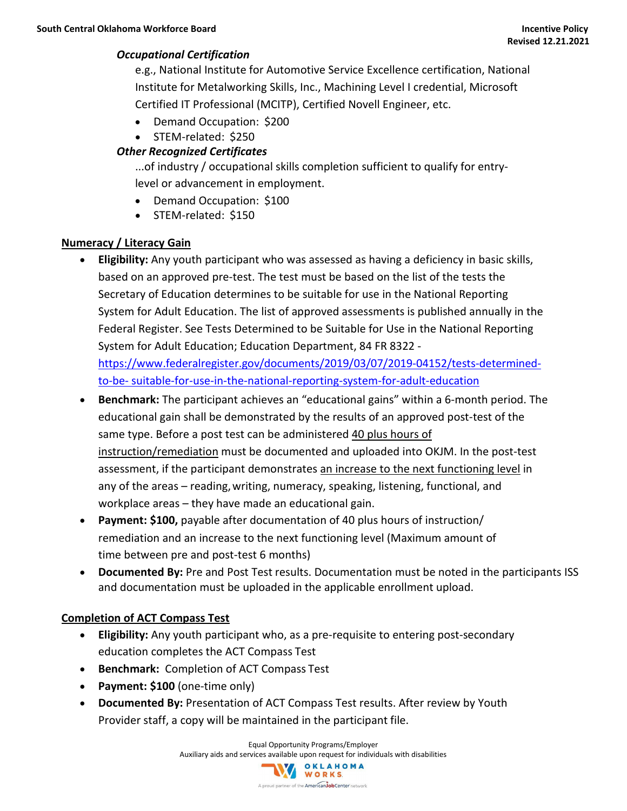#### *Occupational Certification*

e.g., National Institute for Automotive Service Excellence certification, National Institute for Metalworking Skills, Inc., Machining Level I credential, Microsoft Certified IT Professional (MCITP), Certified Novell Engineer, etc.

- Demand Occupation: \$200
- STEM-related: \$250

#### *Other Recognized Certificates*

...of industry / occupational skills completion sufficient to qualify for entrylevel or advancement in employment.

- Demand Occupation: \$100
- STEM-related: \$150

#### **Numeracy / Literacy Gain**

- **Eligibility:** Any youth participant who was assessed as having a deficiency in basic skills, based on an approved pre-test. The test must be based on the list of the tests the Secretary of Education determines to be suitable for use in the National Reporting System for Adult Education. The list of approved assessments is published annually in the Federal Register. See Tests Determined to be Suitable for Use in the National Reporting System for Adult Education; Education Department, 84 FR 8322  [https://www.federalregister.gov/documents/2019/03/07/2019-04152/tests-determined](https://www.federalregister.gov/documents/2019/03/07/2019-04152/tests-determined-to-be-suitable-for-use-in-the-national-reporting-system-for-adult-education)[to-be-](https://www.federalregister.gov/documents/2019/03/07/2019-04152/tests-determined-to-be-suitable-for-use-in-the-national-reporting-system-for-adult-education) [suitable-for-use-in-the-national-reporting-system-for-adult-education](https://www.federalregister.gov/documents/2019/03/07/2019-04152/tests-determined-to-be-suitable-for-use-in-the-national-reporting-system-for-adult-education)
- **Benchmark:** The participant achieves an "educational gains" within a 6-month period. The educational gain shall be demonstrated by the results of an approved post-test of the same type. Before a post test can be administered 40 plus hours of instruction/remediation must be documented and uploaded into OKJM. In the post-test assessment, if the participant demonstrates an increase to the next functioning level in any of the areas – reading,writing, numeracy, speaking, listening, functional, and workplace areas – they have made an educational gain.
- **Payment: \$100,** payable after documentation of 40 plus hours of instruction/ remediation and an increase to the next functioning level (Maximum amount of time between pre and post-test 6 months)
- **Documented By:** Pre and Post Test results. Documentation must be noted in the participants ISS and documentation must be uploaded in the applicable enrollment upload.

#### **Completion of ACT Compass Test**

- **Eligibility:** Any youth participant who, as a pre-requisite to entering post-secondary education completes the ACT Compass Test
- **Benchmark:** Completion of ACT Compass Test
- **Payment: \$100** (one-time only)
- **Documented By:** Presentation of ACT Compass Test results. After review by Youth Provider staff, a copy will be maintained in the participant file.

Equal Opportunity Programs/Employer

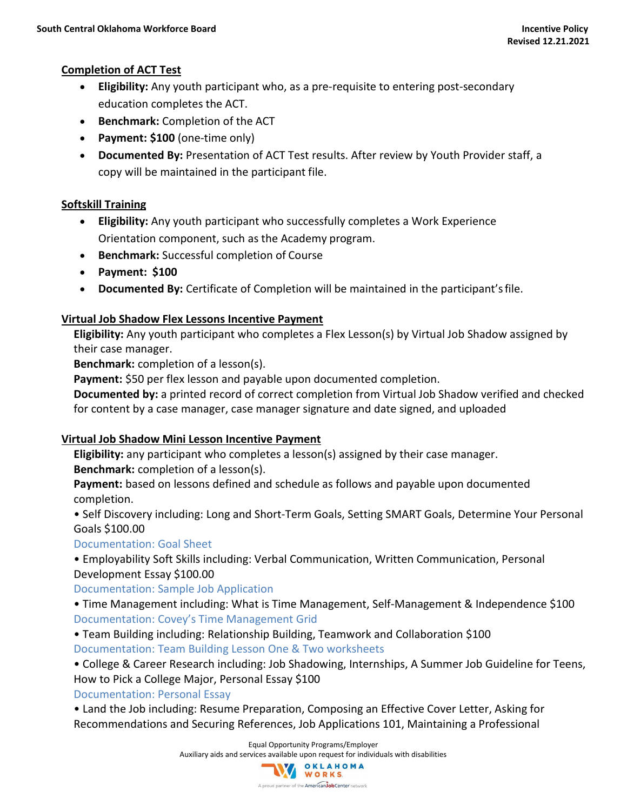#### **Completion of ACT Test**

- **Eligibility:** Any youth participant who, as a pre-requisite to entering post-secondary education completes the ACT.
- **Benchmark:** Completion of the ACT
- **Payment: \$100** (one-time only)
- **Documented By:** Presentation of ACT Test results. After review by Youth Provider staff, a copy will be maintained in the participant file.

#### **Softskill Training**

- **Eligibility:** Any youth participant who successfully completes a Work Experience Orientation component, such as the Academy program.
- **Benchmark:** Successful completion of Course
- **Payment: \$100**
- **Documented By:** Certificate of Completion will be maintained in the participant'sfile.

#### **Virtual Job Shadow Flex Lessons Incentive Payment**

**Eligibility:** Any youth participant who completes a Flex Lesson(s) by Virtual Job Shadow assigned by their case manager.

**Benchmark:** completion of a lesson(s).

**Payment:** \$50 per flex lesson and payable upon documented completion.

**Documented by:** a printed record of correct completion from Virtual Job Shadow verified and checked for content by a case manager, case manager signature and date signed, and uploaded

# **Virtual Job Shadow Mini Lesson Incentive Payment**

**Eligibility:** any participant who completes a lesson(s) assigned by their case manager. **Benchmark:** completion of a lesson(s).

**Payment:** based on lessons defined and schedule as follows and payable upon documented completion.

• Self Discovery including: Long and Short-Term Goals, Setting SMART Goals, Determine Your Personal Goals \$100.00

# Documentation: Goal Sheet

• Employability Soft Skills including: Verbal Communication, Written Communication, Personal Development Essay \$100.00

Documentation: Sample Job Application

• Time Management including: What is Time Management, Self-Management & Independence \$100 Documentation: Covey's Time Management Grid

• Team Building including: Relationship Building, Teamwork and Collaboration \$100 Documentation: Team Building Lesson One & Two worksheets

• College & Career Research including: Job Shadowing, Internships, A Summer Job Guideline for Teens, How to Pick a College Major, Personal Essay \$100

# Documentation: Personal Essay

• Land the Job including: Resume Preparation, Composing an Effective Cover Letter, Asking for Recommendations and Securing References, Job Applications 101, Maintaining a Professional

Equal Opportunity Programs/Employer